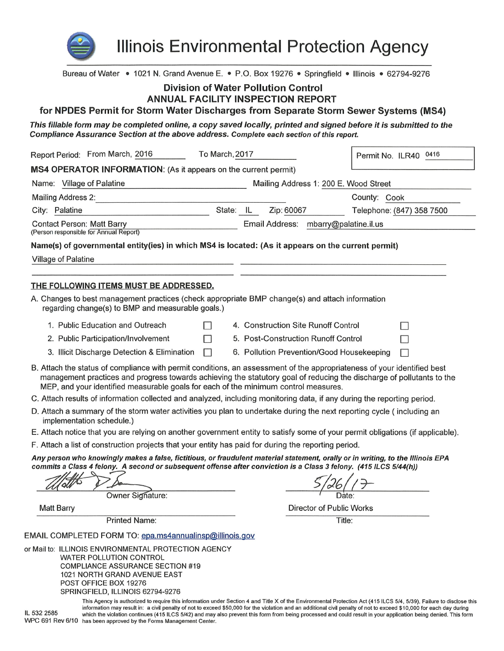

IL 532 2585

**Illinois Environmental Protection Agency** 

Bureau of Water • 1021 N. Grand Avenue E. • P.O. Box 19276 • Springfield • Illinois • 62794-9276

# **Division of Water Pollution Control**

# ANNUAL FACILITY INSPECTION REPORT

for NPDES Permit for Storm Water Discharges from Separate Storm Sewer Systems (MS4)

This fillable form may be completed online, a copy saved locally, printed and signed before it is submitted to the Compliance Assurance Section at the above address. Complete each section of this report.

| Report Period: From March, 2016<br>To March, 2017                                                                                                                                                                                                                                                                                       |           |                                 | Permit No. ILR40 0416                     |                           |
|-----------------------------------------------------------------------------------------------------------------------------------------------------------------------------------------------------------------------------------------------------------------------------------------------------------------------------------------|-----------|---------------------------------|-------------------------------------------|---------------------------|
| MS4 OPERATOR INFORMATION: (As it appears on the current permit)                                                                                                                                                                                                                                                                         |           |                                 |                                           |                           |
| Name: Village of Palatine<br>Mailing Address 1: 200 E. Wood Street                                                                                                                                                                                                                                                                      |           |                                 |                                           |                           |
| <b>Mailing Address 2:</b>                                                                                                                                                                                                                                                                                                               |           |                                 |                                           | County: Cook              |
| City: Palatine                                                                                                                                                                                                                                                                                                                          | State: IL |                                 | Zip: 60067                                | Telephone: (847) 358 7500 |
| <b>Contact Person: Matt Barry</b><br>(Person responsible for Annual Report)                                                                                                                                                                                                                                                             |           |                                 | Email Address: mbarry@palatine.il.us      |                           |
| Name(s) of governmental entity(ies) in which MS4 is located: (As it appears on the current permit)                                                                                                                                                                                                                                      |           |                                 |                                           |                           |
| Village of Palatine                                                                                                                                                                                                                                                                                                                     |           |                                 |                                           |                           |
|                                                                                                                                                                                                                                                                                                                                         |           |                                 |                                           |                           |
| <b>THE FOLLOWING ITEMS MUST BE ADDRESSED.</b>                                                                                                                                                                                                                                                                                           |           |                                 |                                           |                           |
| A. Changes to best management practices (check appropriate BMP change(s) and attach information<br>regarding change(s) to BMP and measurable goals.)                                                                                                                                                                                    |           |                                 |                                           |                           |
| 1. Public Education and Outreach                                                                                                                                                                                                                                                                                                        |           |                                 | 4. Construction Site Runoff Control       |                           |
| 2. Public Participation/Involvement                                                                                                                                                                                                                                                                                                     |           |                                 | 5. Post-Construction Runoff Control       |                           |
| 3. Illicit Discharge Detection & Elimination                                                                                                                                                                                                                                                                                            |           |                                 | 6. Pollution Prevention/Good Housekeeping |                           |
| B. Attach the status of compliance with permit conditions, an assessment of the appropriateness of your identified best<br>management practices and progress towards achieving the statutory goal of reducing the discharge of pollutants to the<br>MEP, and your identified measurable goals for each of the minimum control measures. |           |                                 |                                           |                           |
| C. Attach results of information collected and analyzed, including monitoring data, if any during the reporting period.                                                                                                                                                                                                                 |           |                                 |                                           |                           |
| D. Attach a summary of the storm water activities you plan to undertake during the next reporting cycle (including an<br>implementation schedule.)                                                                                                                                                                                      |           |                                 |                                           |                           |
| E. Attach notice that you are relying on another government entity to satisfy some of your permit obligations (if applicable).                                                                                                                                                                                                          |           |                                 |                                           |                           |
| F. Attach a list of construction projects that your entity has paid for during the reporting period.                                                                                                                                                                                                                                    |           |                                 |                                           |                           |
| Any person who knowingly makes a false, fictitious, or fraudulent material statement, orally or in writing, to the Illinois EPA<br>commits a Class 4 felony. A second or subsequent offense after conviction is a Class 3 felony. (415 ILCS 5/44(h))                                                                                    |           |                                 |                                           |                           |
|                                                                                                                                                                                                                                                                                                                                         |           |                                 |                                           |                           |
| Owner Signature:                                                                                                                                                                                                                                                                                                                        |           |                                 |                                           |                           |
| <b>Matt Barry</b>                                                                                                                                                                                                                                                                                                                       |           | <b>Director of Public Works</b> |                                           |                           |
| <b>Printed Name:</b>                                                                                                                                                                                                                                                                                                                    |           |                                 |                                           | Title:                    |
| EMAIL COMPLETED FORM TO: epa.ms4annualinsp@illinois.gov                                                                                                                                                                                                                                                                                 |           |                                 |                                           |                           |
| or Mail to: ILLINOIS ENVIRONMENTAL PROTECTION AGENCY<br>WATER POLLUTION CONTROL<br><b>COMPLIANCE ASSURANCE SECTION #19</b><br>1021 NORTH GRAND AVENUE EAST<br>POST OFFICE BOX 19276<br>SPRINGFIELD, ILLINOIS 62794-9276                                                                                                                 |           |                                 |                                           |                           |

This Agency is authorized to require this information under Section 4 and Title X of the Environmental Protection Act (415 ILCS 5/4, 5/39). Failure to disclose this information may result in: a civil penalty of not to exceed \$50,000 for the violation and an additional civil penalty of not to exceed \$10,000 for each day during which the violation continues (415 ILCS 5/42) and may also prevent this form from being processed and could result in your application being denied. This form WPC 691 Rev 6/10 has been approved by the Forms Management Center.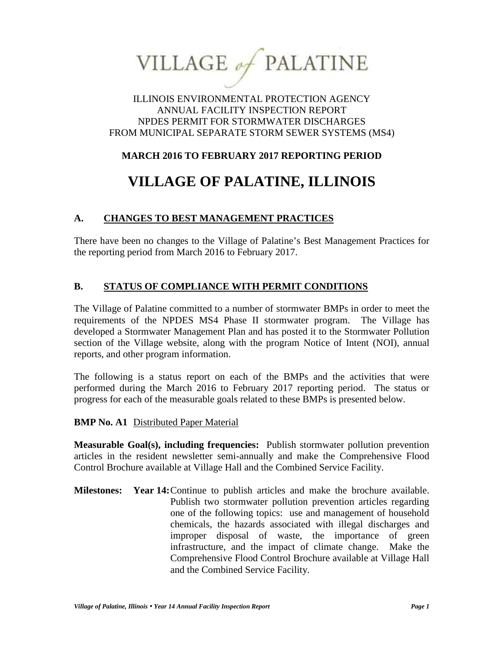VILLAGE of PALATINE

## ILLINOIS ENVIRONMENTAL PROTECTION AGENCY ANNUAL FACILITY INSPECTION REPORT NPDES PERMIT FOR STORMWATER DISCHARGES FROM MUNICIPAL SEPARATE STORM SEWER SYSTEMS (MS4)

# **MARCH 2016 TO FEBRUARY 2017 REPORTING PERIOD**

# **VILLAGE OF PALATINE, ILLINOIS**

# **A. CHANGES TO BEST MANAGEMENT PRACTICES**

There have been no changes to the Village of Palatine's Best Management Practices for the reporting period from March 2016 to February 2017.

## **B. STATUS OF COMPLIANCE WITH PERMIT CONDITIONS**

The Village of Palatine committed to a number of stormwater BMPs in order to meet the requirements of the NPDES MS4 Phase II stormwater program. The Village has developed a Stormwater Management Plan and has posted it to the Stormwater Pollution section of the Village website, along with the program Notice of Intent (NOI), annual reports, and other program information.

The following is a status report on each of the BMPs and the activities that were performed during the March 2016 to February 2017 reporting period. The status or progress for each of the measurable goals related to these BMPs is presented below.

## **BMP No. A1** Distributed Paper Material

**Measurable Goal(s), including frequencies:** Publish stormwater pollution prevention articles in the resident newsletter semi-annually and make the Comprehensive Flood Control Brochure available at Village Hall and the Combined Service Facility.

**Milestones: Year 14:**Continue to publish articles and make the brochure available. Publish two stormwater pollution prevention articles regarding one of the following topics: use and management of household chemicals, the hazards associated with illegal discharges and improper disposal of waste, the importance of green infrastructure, and the impact of climate change. Make the Comprehensive Flood Control Brochure available at Village Hall and the Combined Service Facility.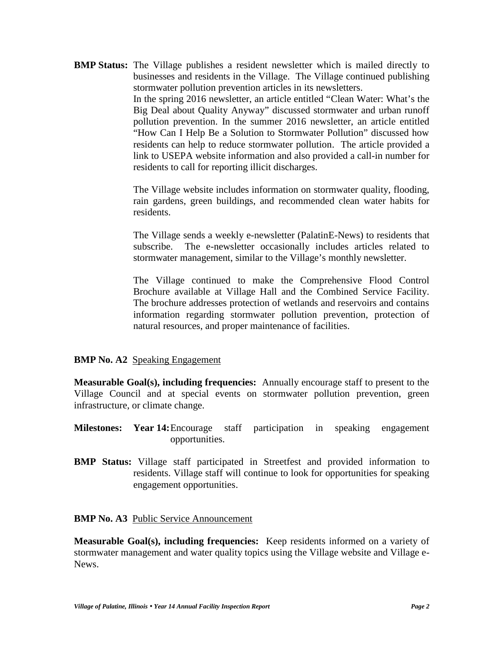**BMP Status:** The Village publishes a resident newsletter which is mailed directly to businesses and residents in the Village. The Village continued publishing stormwater pollution prevention articles in its newsletters. In the spring 2016 newsletter, an article entitled "Clean Water: What's the Big Deal about Quality Anyway" discussed stormwater and urban runoff pollution prevention. In the summer 2016 newsletter, an article entitled "How Can I Help Be a Solution to Stormwater Pollution" discussed how residents can help to reduce stormwater pollution. The article provided a link to USEPA website information and also provided a call-in number for residents to call for reporting illicit discharges.

> The Village website includes information on stormwater quality, flooding, rain gardens, green buildings, and recommended clean water habits for residents.

> The Village sends a weekly e-newsletter (PalatinE-News) to residents that subscribe. The e-newsletter occasionally includes articles related to stormwater management, similar to the Village's monthly newsletter.

> The Village continued to make the Comprehensive Flood Control Brochure available at Village Hall and the Combined Service Facility. The brochure addresses protection of wetlands and reservoirs and contains information regarding stormwater pollution prevention, protection of natural resources, and proper maintenance of facilities.

## **BMP No. A2** Speaking Engagement

**Measurable Goal(s), including frequencies:** Annually encourage staff to present to the Village Council and at special events on stormwater pollution prevention, green infrastructure, or climate change.

- **Milestones: Year 14:**Encourage staff participation in speaking engagement opportunities.
- **BMP Status:** Village staff participated in Streetfest and provided information to residents. Village staff will continue to look for opportunities for speaking engagement opportunities.

**BMP No. A3** Public Service Announcement

**Measurable Goal(s), including frequencies:** Keep residents informed on a variety of stormwater management and water quality topics using the Village website and Village e- News.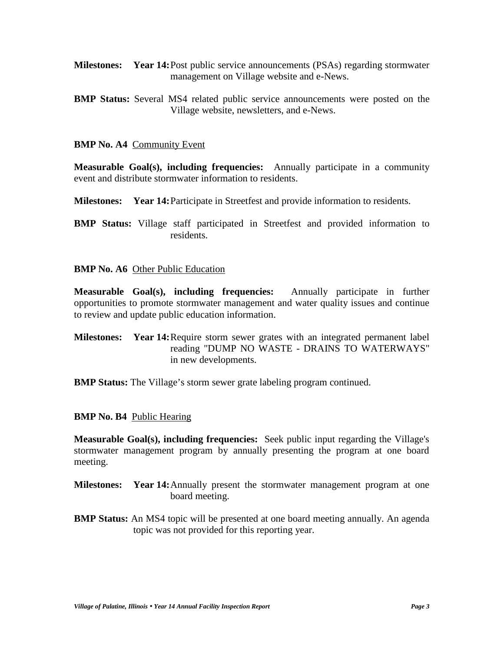- **Milestones: Year 14:**Post public service announcements (PSAs) regarding stormwater management on Village website and e-News.
- **BMP Status:** Several MS4 related public service announcements were posted on the Village website, newsletters, and e-News.

#### **BMP No. A4** Community Event

**Measurable Goal(s), including frequencies:** Annually participate in a community event and distribute stormwater information to residents.

**Milestones: Year 14:**Participate in Streetfest and provide information to residents.

**BMP Status:** Village staff participated in Streetfest and provided information to residents.

#### **BMP No. A6** Other Public Education

**Measurable Goal(s), including frequencies:** Annually participate in further opportunities to promote stormwater management and water quality issues and continue to review and update public education information.

**Milestones: Year 14:**Require storm sewer grates with an integrated permanent label reading "DUMP NO WASTE - DRAINS TO WATERWAYS" in new developments.

**BMP Status:** The Village's storm sewer grate labeling program continued.

#### **BMP No. B4** Public Hearing

**Measurable Goal(s), including frequencies:** Seek public input regarding the Village's stormwater management program by annually presenting the program at one board meeting.

- **Milestones: Year 14:**Annually present the stormwater management program at one board meeting.
- **BMP Status:** An MS4 topic will be presented at one board meeting annually. An agenda topic was not provided for this reporting year.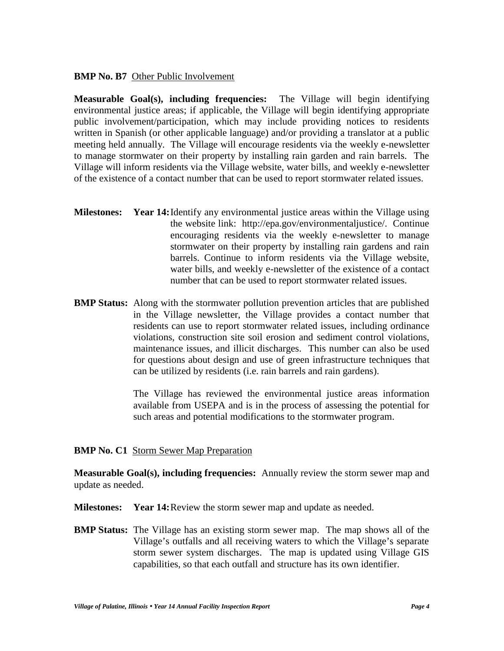#### **BMP No. B7** Other Public Involvement

**Measurable Goal(s), including frequencies:** The Village will begin identifying environmental justice areas; if applicable, the Village will begin identifying appropriate public involvement/participation, which may include providing notices to residents written in Spanish (or other applicable language) and/or providing a translator at a public meeting held annually. The Village will encourage residents via the weekly e-newsletter to manage stormwater on their property by installing rain garden and rain barrels. The Village will inform residents via the Village website, water bills, and weekly e-newsletter of the existence of a contact number that can be used to report stormwater related issues.

- **Milestones: Year 14:**Identify any environmental justice areas within the Village using the website link: http://epa.gov/environmentaljustice/. Continue encouraging residents via the weekly e-newsletter to manage stormwater on their property by installing rain gardens and rain barrels. Continue to inform residents via the Village website, water bills, and weekly e-newsletter of the existence of a contact number that can be used to report stormwater related issues.
- **BMP Status:** Along with the stormwater pollution prevention articles that are published in the Village newsletter, the Village provides a contact number that residents can use to report stormwater related issues, including ordinance violations, construction site soil erosion and sediment control violations, maintenance issues, and illicit discharges. This number can also be used for questions about design and use of green infrastructure techniques that can be utilized by residents (i.e. rain barrels and rain gardens).

The Village has reviewed the environmental justice areas information available from USEPA and is in the process of assessing the potential for such areas and potential modifications to the stormwater program.

## **BMP No. C1 Storm Sewer Map Preparation**

**Measurable Goal(s), including frequencies:** Annually review the storm sewer map and update as needed.

- **Milestones: Year 14:**Review the storm sewer map and update as needed.
- **BMP Status:** The Village has an existing storm sewer map. The map shows all of the Village's outfalls and all receiving waters to which the Village's separate storm sewer system discharges. The map is updated using Village GIS capabilities, so that each outfall and structure has its own identifier.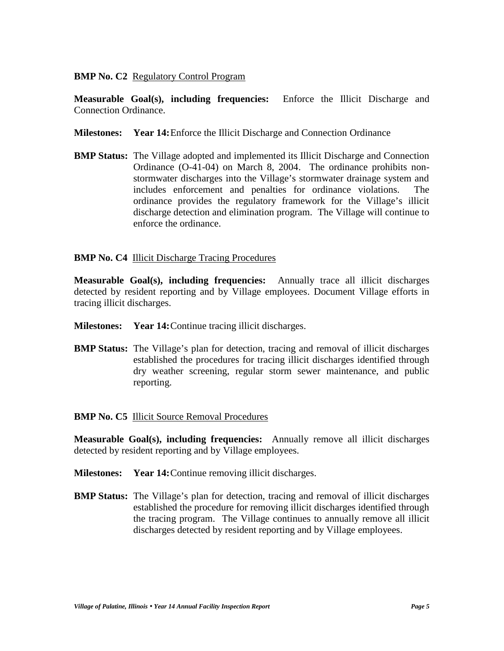## **BMP No. C2** Regulatory Control Program

**Measurable Goal(s), including frequencies:** Enforce the Illicit Discharge and Connection Ordinance.

- **Milestones: Year 14:**Enforce the Illicit Discharge and Connection Ordinance
- **BMP Status:** The Village adopted and implemented its Illicit Discharge and Connection Ordinance (O-41-04) on March 8, 2004. The ordinance prohibits non stormwater discharges into the Village's stormwater drainage system and includes enforcement and penalties for ordinance violations. The ordinance provides the regulatory framework for the Village's illicit discharge detection and elimination program. The Village will continue to enforce the ordinance.

## **BMP No. C4 Illicit Discharge Tracing Procedures**

**Measurable Goal(s), including frequencies:** Annually trace all illicit discharges detected by resident reporting and by Village employees. Document Village efforts in tracing illicit discharges.

- **Milestones: Year 14:**Continue tracing illicit discharges.
- **BMP Status:** The Village's plan for detection, tracing and removal of illicit discharges established the procedures for tracing illicit discharges identified through dry weather screening, regular storm sewer maintenance, and public reporting.

## **BMP No. C5** Illicit Source Removal Procedures

**Measurable Goal(s), including frequencies:** Annually remove all illicit discharges detected by resident reporting and by Village employees.

- **Milestones: Year 14:**Continue removing illicit discharges.
- **BMP Status:** The Village's plan for detection, tracing and removal of illicit discharges established the procedure for removing illicit discharges identified through the tracing program. The Village continues to annually remove all illicit discharges detected by resident reporting and by Village employees.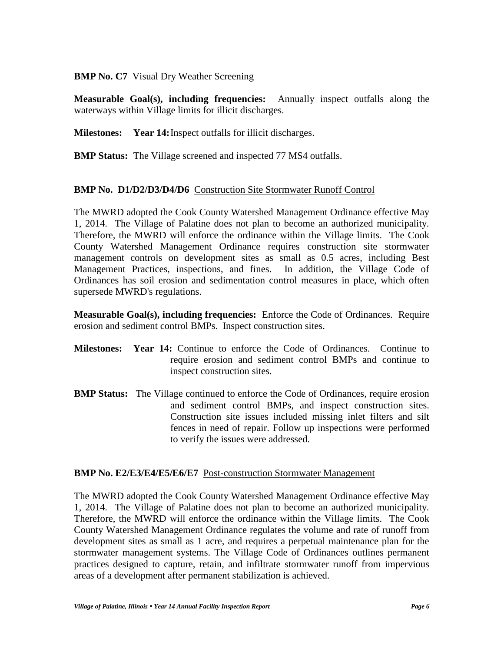## **BMP No. C7** Visual Dry Weather Screening

**Measurable Goal(s), including frequencies:** Annually inspect outfalls along the waterways within Village limits for illicit discharges.

**Milestones: Year 14:**Inspect outfalls for illicit discharges.

**BMP Status:** The Village screened and inspected 77 MS4 outfalls.

## **BMP No. D1/D2/D3/D4/D6** Construction Site Stormwater Runoff Control

The MWRD adopted the Cook County Watershed Management Ordinance effective May 1, 2014. The Village of Palatine does not plan to become an authorized municipality. Therefore, the MWRD will enforce the ordinance within the Village limits. The Cook County Watershed Management Ordinance requires construction site stormwater management controls on development sites as small as 0.5 acres, including Best Management Practices, inspections, and fines. In addition, the Village Code of Ordinances has soil erosion and sedimentation control measures in place, which often supersede MWRD's regulations.

**Measurable Goal(s), including frequencies:** Enforce the Code of Ordinances. Require erosion and sediment control BMPs. Inspect construction sites.

- **Milestones: Year 14:** Continue to enforce the Code of Ordinances. Continue to require erosion and sediment control BMPs and continue to inspect construction sites.
- **BMP Status:** The Village continued to enforce the Code of Ordinances, require erosion and sediment control BMPs, and inspect construction sites. Construction site issues included missing inlet filters and silt fences in need of repair. Follow up inspections were performed to verify the issues were addressed.

## **BMP No. E2/E3/E4/E5/E6/E7** Post-construction Stormwater Management

The MWRD adopted the Cook County Watershed Management Ordinance effective May 1, 2014. The Village of Palatine does not plan to become an authorized municipality. Therefore, the MWRD will enforce the ordinance within the Village limits. The Cook County Watershed Management Ordinance regulates the volume and rate of runoff from development sites as small as 1 acre, and requires a perpetual maintenance plan for the stormwater management systems. The Village Code of Ordinances outlines permanent practices designed to capture, retain, and infiltrate stormwater runoff from impervious areas of a development after permanent stabilization is achieved.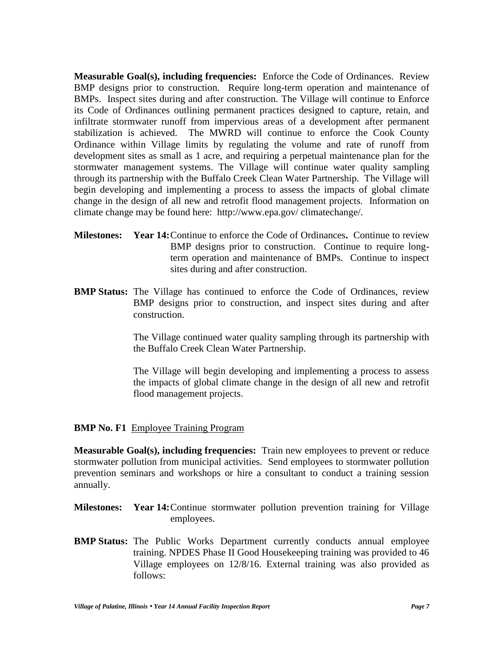**Measurable Goal(s), including frequencies:** Enforce the Code of Ordinances. Review BMP designs prior to construction. Require long-term operation and maintenance of BMPs. Inspect sites during and after construction. The Village will continue to Enforce its Code of Ordinances outlining permanent practices designed to capture, retain, and infiltrate stormwater runoff from impervious areas of a development after permanent stabilization is achieved. The MWRD will continue to enforce the Cook County Ordinance within Village limits by regulating the volume and rate of runoff from development sites as small as 1 acre, and requiring a perpetual maintenance plan for the stormwater management systems. The Village will continue water quality sampling through its partnership with the Buffalo Creek Clean Water Partnership. The Village will begin developing and implementing a process to assess the impacts of global climate change in the design of all new and retrofit flood management projects. Information on climate change may be found here: http://www.epa.gov/ climatechange/.

- **Milestones: Year 14:**Continue to enforce the Code of Ordinances**.** Continue to review BMP designs prior to construction. Continue to require longterm operation and maintenance of BMPs. Continue to inspect sites during and after construction.
- **BMP Status:** The Village has continued to enforce the Code of Ordinances, review BMP designs prior to construction, and inspect sites during and after construction.

The Village continued water quality sampling through its partnership with the Buffalo Creek Clean Water Partnership.

The Village will begin developing and implementing a process to assess the impacts of global climate change in the design of all new and retrofit flood management projects.

## **BMP No. F1** Employee Training Program

**Measurable Goal(s), including frequencies:** Train new employees to prevent or reduce stormwater pollution from municipal activities. Send employees to stormwater pollution prevention seminars and workshops or hire a consultant to conduct a training session annually.

- **Milestones: Year 14:**Continue stormwater pollution prevention training for Village employees.
- **BMP Status:** The Public Works Department currently conducts annual employee training. NPDES Phase II Good Housekeeping training was provided to 46 Village employees on 12/8/16. External training was also provided as follows: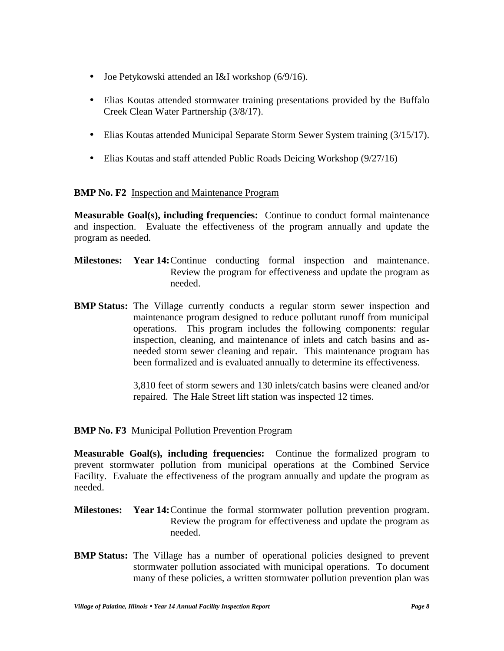- Joe Petykowski attended an I&I workshop (6/9/16).
- Elias Koutas attended stormwater training presentations provided by the Buffalo Creek Clean Water Partnership (3/8/17).
- Elias Koutas attended Municipal Separate Storm Sewer System training (3/15/17).
- Elias Koutas and staff attended Public Roads Deicing Workshop (9/27/16)

## **BMP No. F2** Inspection and Maintenance Program

**Measurable Goal(s), including frequencies:** Continue to conduct formal maintenance and inspection. Evaluate the effectiveness of the program annually and update the program as needed.

- **Milestones: Year 14:**Continue conducting formal inspection and maintenance. Review the program for effectiveness and update the program as needed.
- **BMP Status:** The Village currently conducts a regular storm sewer inspection and maintenance program designed to reduce pollutant runoff from municipal operations. This program includes the following components: regular inspection, cleaning, and maintenance of inlets and catch basins and as needed storm sewer cleaning and repair. This maintenance program has been formalized and is evaluated annually to determine its effectiveness.

3,810 feet of storm sewers and 130 inlets/catch basins were cleaned and/or repaired. The Hale Street lift station was inspected 12 times.

## **BMP No. F3** Municipal Pollution Prevention Program

**Measurable Goal(s), including frequencies:** Continue the formalized program to prevent stormwater pollution from municipal operations at the Combined Service Facility. Evaluate the effectiveness of the program annually and update the program as needed.

- **Milestones: Year 14:**Continue the formal stormwater pollution prevention program. Review the program for effectiveness and update the program as needed.
- **BMP Status:** The Village has a number of operational policies designed to prevent stormwater pollution associated with municipal operations. To document many of these policies, a written stormwater pollution prevention plan was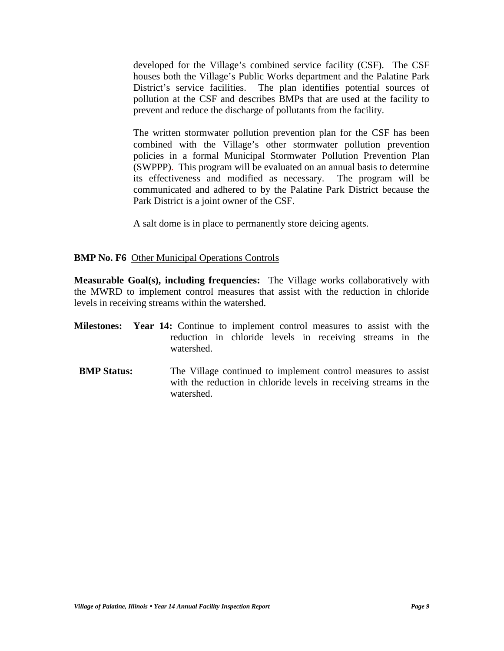developed for the Village's combined service facility (CSF). The CSF houses both the Village's Public Works department and the Palatine Park District's service facilities. The plan identifies potential sources of pollution at the CSF and describes BMPs that are used at the facility to prevent and reduce the discharge of pollutants from the facility.

The written stormwater pollution prevention plan for the CSF has been combined with the Village's other stormwater pollution prevention policies in a formal Municipal Stormwater Pollution Prevention Plan (SWPPP). This program will be evaluated on an annual basis to determine its effectiveness and modified as necessary. The program will be communicated and adhered to by the Palatine Park District because the Park District is a joint owner of the CSF.

A salt dome is in place to permanently store deicing agents.

#### **BMP No. F6** Other Municipal Operations Controls

**Measurable Goal(s), including frequencies:** The Village works collaboratively with the MWRD to implement control measures that assist with the reduction in chloride levels in receiving streams within the watershed.

- **Milestones: Year 14:** Continue to implement control measures to assist with the reduction in chloride levels in receiving streams in the watershed.
- **BMP Status:** The Village continued to implement control measures to assist with the reduction in chloride levels in receiving streams in the watershed.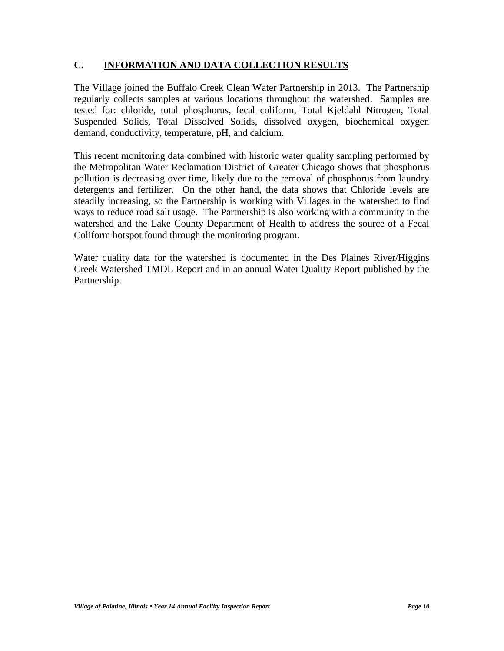## **C. INFORMATION AND DATA COLLECTION RESULTS**

The Village joined the Buffalo Creek Clean Water Partnership in 2013. The Partnership regularly collects samples at various locations throughout the watershed. Samples are tested for: chloride, total phosphorus, fecal coliform, Total Kjeldahl Nitrogen, Total Suspended Solids, Total Dissolved Solids, dissolved oxygen, biochemical oxygen demand, conductivity, temperature, pH, and calcium.

This recent monitoring data combined with historic water quality sampling performed by the Metropolitan Water Reclamation District of Greater Chicago shows that phosphorus pollution is decreasing over time, likely due to the removal of phosphorus from laundry detergents and fertilizer. On the other hand, the data shows that Chloride levels are steadily increasing, so the Partnership is working with Villages in the watershed to find ways to reduce road salt usage. The Partnership is also working with a community in the watershed and the Lake County Department of Health to address the source of a Fecal Coliform hotspot found through the monitoring program.

Water quality data for the watershed is documented in the Des Plaines River/Higgins Creek Watershed TMDL Report and in an annual Water Quality Report published by the Partnership.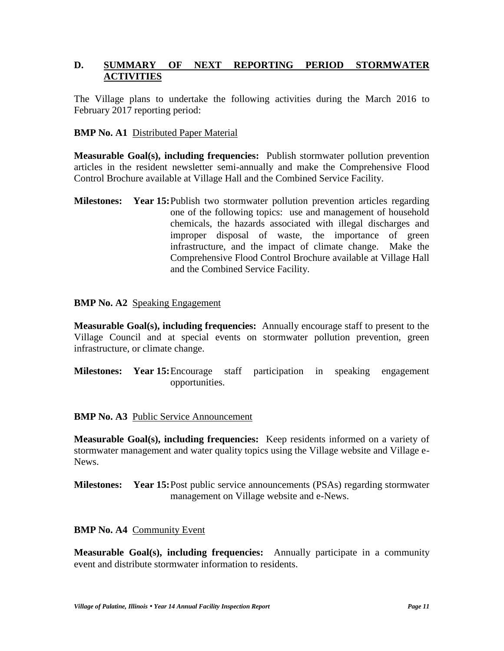## **D. SUMMARY OF NEXT REPORTING PERIOD STORMWATER ACTIVITIES**

The Village plans to undertake the following activities during the March 2016 to February 2017 reporting period:

## **BMP No. A1** Distributed Paper Material

**Measurable Goal(s), including frequencies:** Publish stormwater pollution prevention articles in the resident newsletter semi-annually and make the Comprehensive Flood Control Brochure available at Village Hall and the Combined Service Facility.

**Milestones: Year 15:**Publish two stormwater pollution prevention articles regarding one of the following topics: use and management of household chemicals, the hazards associated with illegal discharges and improper disposal of waste, the importance of green infrastructure, and the impact of climate change. Make the Comprehensive Flood Control Brochure available at Village Hall and the Combined Service Facility.

#### **BMP No. A2** Speaking Engagement

**Measurable Goal(s), including frequencies:** Annually encourage staff to present to the Village Council and at special events on stormwater pollution prevention, green infrastructure, or climate change.

**Milestones: Year 15:**Encourage staff participation in speaking engagement opportunities.

#### **BMP No. A3** Public Service Announcement

**Measurable Goal(s), including frequencies:** Keep residents informed on a variety of stormwater management and water quality topics using the Village website and Village e- News.

**Milestones: Year 15:**Post public service announcements (PSAs) regarding stormwater management on Village website and e-News.

#### **BMP No. A4** Community Event

**Measurable Goal(s), including frequencies:** Annually participate in a community event and distribute stormwater information to residents.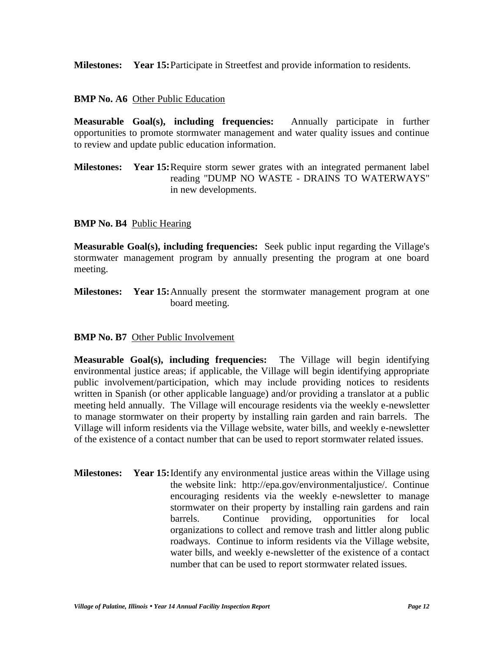**Milestones: Year 15:**Participate in Streetfest and provide information to residents.

## **BMP No. A6** Other Public Education

**Measurable Goal(s), including frequencies:** Annually participate in further opportunities to promote stormwater management and water quality issues and continue to review and update public education information.

**Milestones: Year 15:**Require storm sewer grates with an integrated permanent label reading "DUMP NO WASTE - DRAINS TO WATERWAYS" in new developments.

## **BMP No. B4** Public Hearing

**Measurable Goal(s), including frequencies:** Seek public input regarding the Village's stormwater management program by annually presenting the program at one board meeting.

**Milestones: Year 15:**Annually present the stormwater management program at one board meeting.

## **BMP No. B7** Other Public Involvement

**Measurable Goal(s), including frequencies:** The Village will begin identifying environmental justice areas; if applicable, the Village will begin identifying appropriate public involvement/participation, which may include providing notices to residents written in Spanish (or other applicable language) and/or providing a translator at a public meeting held annually. The Village will encourage residents via the weekly e-newsletter to manage stormwater on their property by installing rain garden and rain barrels. The Village will inform residents via the Village website, water bills, and weekly e-newsletter of the existence of a contact number that can be used to report stormwater related issues.

**Milestones: Year 15:**Identify any environmental justice areas within the Village using the website link: http://epa.gov/environmentaljustice/. Continue encouraging residents via the weekly e-newsletter to manage stormwater on their property by installing rain gardens and rain barrels. Continue providing, opportunities for local organizations to collect and remove trash and littler along public roadways. Continue to inform residents via the Village website, water bills, and weekly e-newsletter of the existence of a contact number that can be used to report stormwater related issues.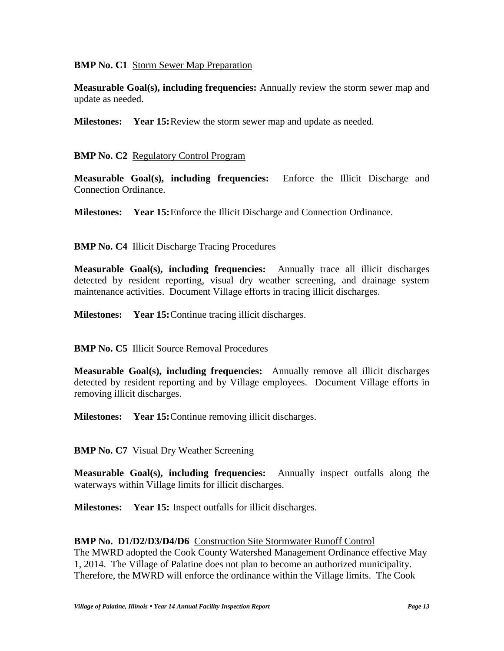## **BMP No. C1** Storm Sewer Map Preparation

**Measurable Goal(s), including frequencies:** Annually review the storm sewer map and update as needed.

**Milestones: Year 15:**Review the storm sewer map and update as needed.

## **BMP No. C2** Regulatory Control Program

**Measurable Goal(s), including frequencies:** Enforce the Illicit Discharge and Connection Ordinance.

**Milestones: Year 15:**Enforce the Illicit Discharge and Connection Ordinance.

## **BMP No. C4 Illicit Discharge Tracing Procedures**

**Measurable Goal(s), including frequencies:** Annually trace all illicit discharges detected by resident reporting, visual dry weather screening, and drainage system maintenance activities. Document Village efforts in tracing illicit discharges.

**Milestones: Year 15:**Continue tracing illicit discharges.

## **BMP No. C5** Illicit Source Removal Procedures

**Measurable Goal(s), including frequencies:** Annually remove all illicit discharges detected by resident reporting and by Village employees. Document Village efforts in removing illicit discharges.

**Milestones: Year 15:**Continue removing illicit discharges.

**BMP No. C7** Visual Dry Weather Screening

**Measurable Goal(s), including frequencies:** Annually inspect outfalls along the waterways within Village limits for illicit discharges.

**Milestones: Year 15:** Inspect outfalls for illicit discharges.

#### **BMP No. D1/D2/D3/D4/D6** Construction Site Stormwater Runoff Control

The MWRD adopted the Cook County Watershed Management Ordinance effective May 1, 2014. The Village of Palatine does not plan to become an authorized municipality. Therefore, the MWRD will enforce the ordinance within the Village limits. The Cook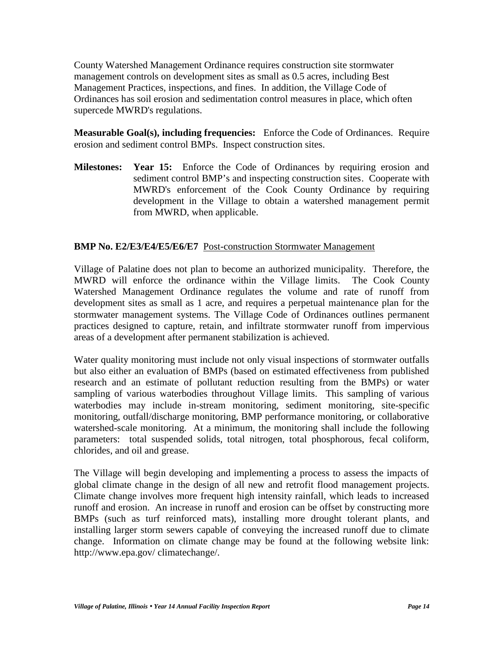County Watershed Management Ordinance requires construction site stormwater management controls on development sites as small as 0.5 acres, including Best Management Practices, inspections, and fines. In addition, the Village Code of Ordinances has soil erosion and sedimentation control measures in place, which often supercede MWRD's regulations.

**Measurable Goal(s), including frequencies:** Enforce the Code of Ordinances. Require erosion and sediment control BMPs. Inspect construction sites.

**Milestones: Year 15:** Enforce the Code of Ordinances by requiring erosion and sediment control BMP's and inspecting construction sites. Cooperate with MWRD's enforcement of the Cook County Ordinance by requiring development in the Village to obtain a watershed management permit from MWRD, when applicable.

## **BMP No. E2/E3/E4/E5/E6/E7** Post-construction Stormwater Management

Village of Palatine does not plan to become an authorized municipality. Therefore, the MWRD will enforce the ordinance within the Village limits. The Cook County Watershed Management Ordinance regulates the volume and rate of runoff from development sites as small as 1 acre, and requires a perpetual maintenance plan for the stormwater management systems. The Village Code of Ordinances outlines permanent practices designed to capture, retain, and infiltrate stormwater runoff from impervious areas of a development after permanent stabilization is achieved.

Water quality monitoring must include not only visual inspections of stormwater outfalls but also either an evaluation of BMPs (based on estimated effectiveness from published research and an estimate of pollutant reduction resulting from the BMPs) or water sampling of various waterbodies throughout Village limits. This sampling of various waterbodies may include in-stream monitoring, sediment monitoring, site-specific monitoring, outfall/discharge monitoring, BMP performance monitoring, or collaborative watershed-scale monitoring. At a minimum, the monitoring shall include the following parameters: total suspended solids, total nitrogen, total phosphorous, fecal coliform, chlorides, and oil and grease.

The Village will begin developing and implementing a process to assess the impacts of global climate change in the design of all new and retrofit flood management projects. Climate change involves more frequent high intensity rainfall, which leads to increased runoff and erosion. An increase in runoff and erosion can be offset by constructing more BMPs (such as turf reinforced mats), installing more drought tolerant plants, and installing larger storm sewers capable of conveying the increased runoff due to climate change. Information on climate change may be found at the following website link: http://www.epa.gov/ climatechange/.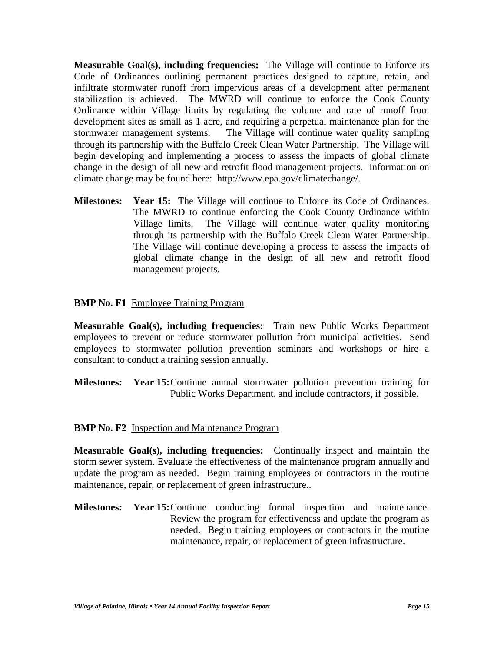**Measurable Goal(s), including frequencies:** The Village will continue to Enforce its Code of Ordinances outlining permanent practices designed to capture, retain, and infiltrate stormwater runoff from impervious areas of a development after permanent stabilization is achieved. The MWRD will continue to enforce the Cook County Ordinance within Village limits by regulating the volume and rate of runoff from development sites as small as 1 acre, and requiring a perpetual maintenance plan for the stormwater management systems. The Village will continue water quality sampling through its partnership with the Buffalo Creek Clean Water Partnership. The Village will begin developing and implementing a process to assess the impacts of global climate change in the design of all new and retrofit flood management projects. Information on climate change may be found here: http://www.epa.gov/climatechange/.

**Milestones: Year 15:** The Village will continue to Enforce its Code of Ordinances. The MWRD to continue enforcing the Cook County Ordinance within Village limits. The Village will continue water quality monitoring through its partnership with the Buffalo Creek Clean Water Partnership. The Village will continue developing a process to assess the impacts of global climate change in the design of all new and retrofit flood management projects.

#### **BMP No. F1** Employee Training Program

**Measurable Goal(s), including frequencies:** Train new Public Works Department employees to prevent or reduce stormwater pollution from municipal activities. Send employees to stormwater pollution prevention seminars and workshops or hire a consultant to conduct a training session annually.

**Milestones: Year 15:**Continue annual stormwater pollution prevention training for Public Works Department, and include contractors, if possible.

#### **BMP No. F2** Inspection and Maintenance Program

**Measurable Goal(s), including frequencies:** Continually inspect and maintain the storm sewer system. Evaluate the effectiveness of the maintenance program annually and update the program as needed. Begin training employees or contractors in the routine maintenance, repair, or replacement of green infrastructure..

**Milestones: Year 15:**Continue conducting formal inspection and maintenance. Review the program for effectiveness and update the program as needed. Begin training employees or contractors in the routine maintenance, repair, or replacement of green infrastructure.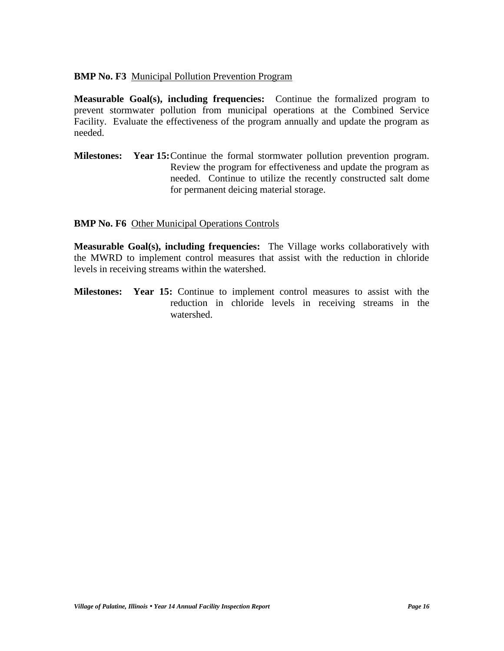## **BMP No. F3** Municipal Pollution Prevention Program

**Measurable Goal(s), including frequencies:** Continue the formalized program to prevent stormwater pollution from municipal operations at the Combined Service Facility. Evaluate the effectiveness of the program annually and update the program as needed.

**Milestones: Year 15:**Continue the formal stormwater pollution prevention program. Review the program for effectiveness and update the program as needed. Continue to utilize the recently constructed salt dome for permanent deicing material storage.

## **BMP No. F6** Other Municipal Operations Controls

**Measurable Goal(s), including frequencies:** The Village works collaboratively with the MWRD to implement control measures that assist with the reduction in chloride levels in receiving streams within the watershed.

**Milestones: Year 15:** Continue to implement control measures to assist with the reduction in chloride levels in receiving streams in the watershed.